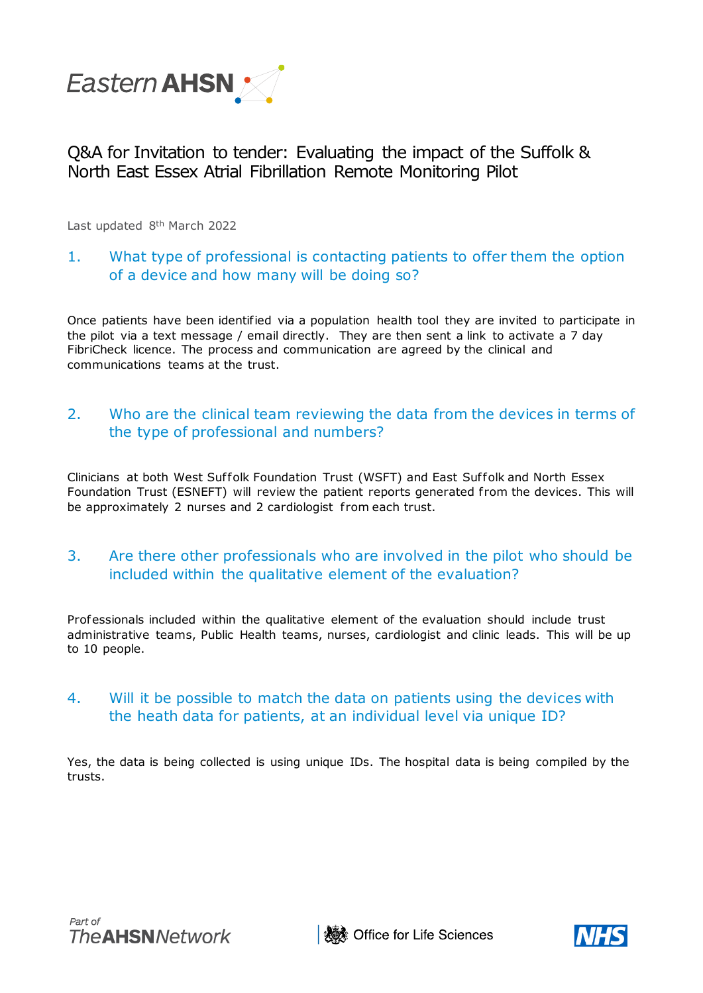

# Q&A for Invitation to tender: Evaluating the impact of the Suffolk & North East Essex Atrial Fibrillation Remote Monitoring Pilot

Last updated 8<sup>th</sup> March 2022

## 1. What type of professional is contacting patients to offer them the option of a device and how many will be doing so?

Once patients have been identified via a population health tool they are invited to participate in the pilot via a text message / email directly. They are then sent a link to activate a 7 day FibriCheck licence. The process and communication are agreed by the clinical and communications teams at the trust.

## 2. Who are the clinical team reviewing the data from the devices in terms of the type of professional and numbers?

Clinicians at both West Suffolk Foundation Trust (WSFT) and East Suffolk and North Essex Foundation Trust (ESNEFT) will review the patient reports generated from the devices. This will be approximately 2 nurses and 2 cardiologist from each trust.

## 3. Are there other professionals who are involved in the pilot who should be included within the qualitative element of the evaluation?

Professionals included within the qualitative element of the evaluation should include trust administrative teams, Public Health teams, nurses, cardiologist and clinic leads. This will be up to 10 people.

## 4. Will it be possible to match the data on patients using the devices with the heath data for patients, at an individual level via unique ID?

Yes, the data is being collected is using unique IDs. The hospital data is being compiled by the trusts.



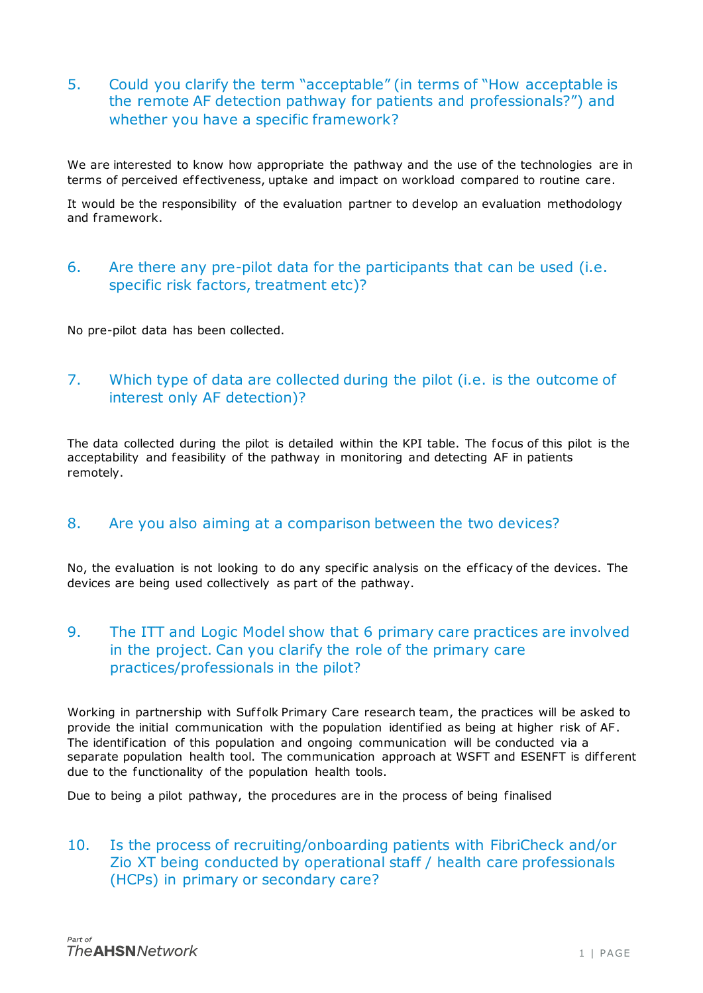5. Could you clarify the term "acceptable" (in terms of "How acceptable is the remote AF detection pathway for patients and professionals?") and whether you have a specific framework?

We are interested to know how appropriate the pathway and the use of the technologies are in terms of perceived effectiveness, uptake and impact on workload compared to routine care.

It would be the responsibility of the evaluation partner to develop an evaluation methodology and framework.

### 6. Are there any pre-pilot data for the participants that can be used (i.e. specific risk factors, treatment etc)?

No pre-pilot data has been collected.

## 7. Which type of data are collected during the pilot (i.e. is the outcome of interest only AF detection)?

The data collected during the pilot is detailed within the KPI table. The focus of this pilot is the acceptability and feasibility of the pathway in monitoring and detecting AF in patients remotely.

#### 8. Are you also aiming at a comparison between the two devices?

No, the evaluation is not looking to do any specific analysis on the ef ficacy of the devices. The devices are being used collectively as part of the pathway.

## 9. The ITT and Logic Model show that 6 primary care practices are involved in the project. Can you clarify the role of the primary care practices/professionals in the pilot?

Working in partnership with Suffolk Primary Care research team, the practices will be asked to provide the initial communication with the population identified as being at higher risk of AF. The identification of this population and ongoing communication will be conducted via a separate population health tool. The communication approach at WSFT and ESENFT is different due to the functionality of the population health tools.

Due to being a pilot pathway, the procedures are in the process of being finalised

## 10. Is the process of recruiting/onboarding patients with FibriCheck and/or Zio XT being conducted by operational staff / health care professionals (HCPs) in primary or secondary care?